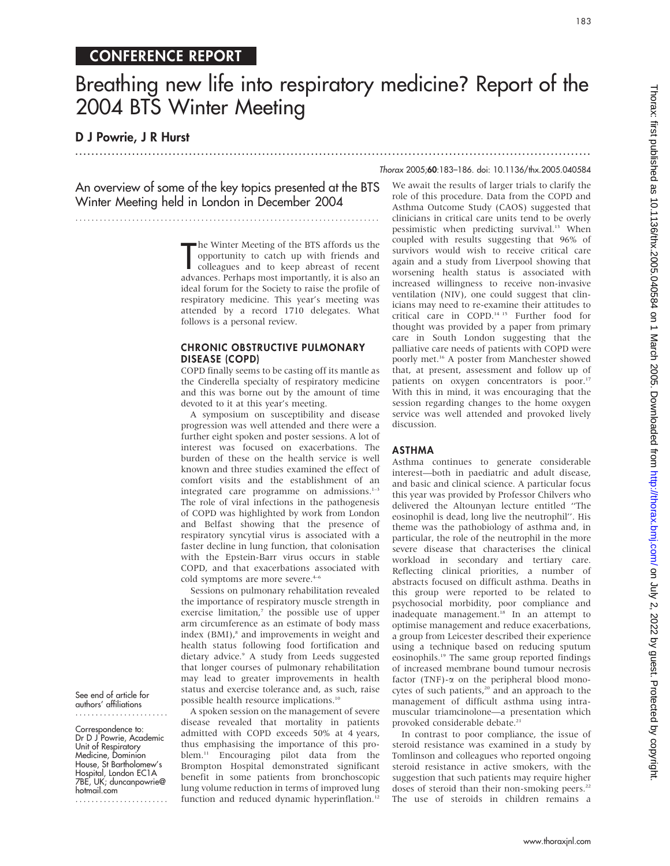## CONFERENCE REPORT

# Breathing new life into respiratory medicine? Report of the 2004 BTS Winter Meeting

...............................................................................................................................

D J Powrie, J R Hurst

See end of article for authors' affiliations ....................... Correspondence to: Dr D J Powrie, Academic Unit of Respiratory Medicine, Dominion House, St Bartholomew's Hospital, London EC1A 7BE, UK; duncanpowrie@

hotmail.com

.......................

#### Thorax 2005;60:183–186. doi: 10.1136/thx.2005.040584

### An overview of some of the key topics presented at the BTS Winter Meeting held in London in December 2004

#### ...........................................................................

The Winter Meeting of the BTS affords us the<br>opportunity to catch up with friends and<br>colleagues and to keep abreast of recent<br>advances. Perhaps most importantly, it is also an he Winter Meeting of the BTS affords us the opportunity to catch up with friends and colleagues and to keep abreast of recent ideal forum for the Society to raise the profile of respiratory medicine. This year's meeting was attended by a record 1710 delegates. What follows is a personal review.

#### CHRONIC OBSTRUCTIVE PULMONARY DISEASE (COPD)

COPD finally seems to be casting off its mantle as the Cinderella specialty of respiratory medicine and this was borne out by the amount of time devoted to it at this year's meeting.

A symposium on susceptibility and disease progression was well attended and there were a further eight spoken and poster sessions. A lot of interest was focused on exacerbations. The burden of these on the health service is well known and three studies examined the effect of comfort visits and the establishment of an integrated care programme on admissions.<sup>1-3</sup> The role of viral infections in the pathogenesis of COPD was highlighted by work from London and Belfast showing that the presence of respiratory syncytial virus is associated with a faster decline in lung function, that colonisation with the Epstein-Barr virus occurs in stable COPD, and that exacerbations associated with cold symptoms are more severe. $4-6$ 

Sessions on pulmonary rehabilitation revealed the importance of respiratory muscle strength in exercise limitation,7 the possible use of upper arm circumference as an estimate of body mass index  $(BMI)$ ,<sup>8</sup> and improvements in weight and health status following food fortification and dietary advice.<sup>9</sup> A study from Leeds suggested that longer courses of pulmonary rehabilitation may lead to greater improvements in health status and exercise tolerance and, as such, raise possible health resource implications.10

A spoken session on the management of severe disease revealed that mortality in patients admitted with COPD exceeds 50% at 4 years, thus emphasising the importance of this problem.<sup>11</sup> Encouraging pilot data from the Brompton Hospital demonstrated significant benefit in some patients from bronchoscopic lung volume reduction in terms of improved lung function and reduced dynamic hyperinflation.<sup>12</sup>

We await the results of larger trials to clarify the role of this procedure. Data from the COPD and Asthma Outcome Study (CAOS) suggested that clinicians in critical care units tend to be overly pessimistic when predicting survival.<sup>13</sup> When coupled with results suggesting that 96% of survivors would wish to receive critical care again and a study from Liverpool showing that worsening health status is associated with increased willingness to receive non-invasive ventilation (NIV), one could suggest that clinicians may need to re-examine their attitudes to critical care in COPD.14 15 Further food for thought was provided by a paper from primary care in South London suggesting that the palliative care needs of patients with COPD were poorly met.<sup>16</sup> A poster from Manchester showed that, at present, assessment and follow up of patients on oxygen concentrators is poor.<sup>17</sup> With this in mind, it was encouraging that the session regarding changes to the home oxygen service was well attended and provoked lively discussion.

#### ASTHMA

Asthma continues to generate considerable interest—both in paediatric and adult disease, and basic and clinical science. A particular focus this year was provided by Professor Chilvers who delivered the Altounyan lecture entitled ''The eosinophil is dead, long live the neutrophil''. His theme was the pathobiology of asthma and, in particular, the role of the neutrophil in the more severe disease that characterises the clinical workload in secondary and tertiary care. Reflecting clinical priorities, a number of abstracts focused on difficult asthma. Deaths in this group were reported to be related to psychosocial morbidity, poor compliance and inadequate management.<sup>18</sup> In an attempt to optimise management and reduce exacerbations, a group from Leicester described their experience using a technique based on reducing sputum eosinophils.19 The same group reported findings of increased membrane bound tumour necrosis factor (TNF)- $\alpha$  on the peripheral blood monocytes of such patients, $20$  and an approach to the management of difficult asthma using intramuscular triamcinolone—a presentation which provoked considerable debate.<sup>21</sup>

In contrast to poor compliance, the issue of steroid resistance was examined in a study by Tomlinson and colleagues who reported ongoing steroid resistance in active smokers, with the suggestion that such patients may require higher doses of steroid than their non-smoking peers.<sup>22</sup> The use of steroids in children remains a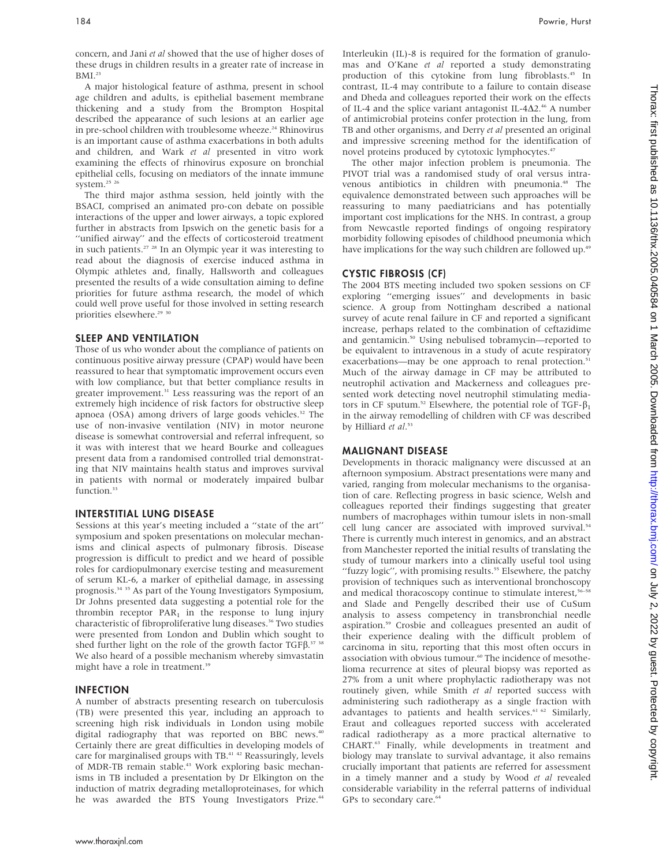concern, and Jani et al showed that the use of higher doses of these drugs in children results in a greater rate of increase in BMI.<sup>23</sup>

A major histological feature of asthma, present in school age children and adults, is epithelial basement membrane thickening and a study from the Brompton Hospital described the appearance of such lesions at an earlier age in pre-school children with troublesome wheeze.<sup>24</sup> Rhinovirus is an important cause of asthma exacerbations in both adults and children, and Wark et al presented in vitro work examining the effects of rhinovirus exposure on bronchial epithelial cells, focusing on mediators of the innate immune system.<sup>25</sup> <sup>26</sup>

The third major asthma session, held jointly with the BSACI, comprised an animated pro-con debate on possible interactions of the upper and lower airways, a topic explored further in abstracts from Ipswich on the genetic basis for a ''unified airway'' and the effects of corticosteroid treatment in such patients.27 28 In an Olympic year it was interesting to read about the diagnosis of exercise induced asthma in Olympic athletes and, finally, Hallsworth and colleagues presented the results of a wide consultation aiming to define priorities for future asthma research, the model of which could well prove useful for those involved in setting research priorities elsewhere.<sup>29</sup> 30

#### SLEEP AND VENTILATION

Those of us who wonder about the compliance of patients on continuous positive airway pressure (CPAP) would have been reassured to hear that symptomatic improvement occurs even with low compliance, but that better compliance results in greater improvement.<sup>31</sup> Less reassuring was the report of an extremely high incidence of risk factors for obstructive sleep apnoea (OSA) among drivers of large goods vehicles.<sup>32</sup> The use of non-invasive ventilation (NIV) in motor neurone disease is somewhat controversial and referral infrequent, so it was with interest that we heard Bourke and colleagues present data from a randomised controlled trial demonstrating that NIV maintains health status and improves survival in patients with normal or moderately impaired bulbar function.<sup>33</sup>

#### INTERSTITIAL LUNG DISEASE

Sessions at this year's meeting included a ''state of the art'' symposium and spoken presentations on molecular mechanisms and clinical aspects of pulmonary fibrosis. Disease progression is difficult to predict and we heard of possible roles for cardiopulmonary exercise testing and measurement of serum KL-6, a marker of epithelial damage, in assessing prognosis.34 35 As part of the Young Investigators Symposium, Dr Johns presented data suggesting a potential role for the thrombin receptor  $PAR_1$  in the response to lung injury characteristic of fibroproliferative lung diseases.<sup>36</sup> Two studies were presented from London and Dublin which sought to shed further light on the role of the growth factor  $TGF\beta$ .<sup>37</sup> 38 We also heard of a possible mechanism whereby simvastatin might have a role in treatment.<sup>39</sup>

#### INFECTION

A number of abstracts presenting research on tuberculosis (TB) were presented this year, including an approach to screening high risk individuals in London using mobile digital radiography that was reported on BBC news.40 Certainly there are great difficulties in developing models of care for marginalised groups with TB.<sup>41 42</sup> Reassuringly, levels of MDR-TB remain stable.<sup>43</sup> Work exploring basic mechanisms in TB included a presentation by Dr Elkington on the induction of matrix degrading metalloproteinases, for which he was awarded the BTS Young Investigators Prize.<sup>44</sup> Interleukin (IL)-8 is required for the formation of granulomas and O'Kane et al reported a study demonstrating production of this cytokine from lung fibroblasts.<sup>45</sup> In contrast, IL-4 may contribute to a failure to contain disease and Dheda and colleagues reported their work on the effects of IL-4 and the splice variant antagonist IL-4 $\Delta$ 2.<sup>46</sup> A number of antimicrobial proteins confer protection in the lung, from TB and other organisms, and Derry et al presented an original and impressive screening method for the identification of novel proteins produced by cytotoxic lymphocytes.<sup>47</sup>

The other major infection problem is pneumonia. The PIVOT trial was a randomised study of oral versus intravenous antibiotics in children with pneumonia.<sup>48</sup> The equivalence demonstrated between such approaches will be reassuring to many paediatricians and has potentially important cost implications for the NHS. In contrast, a group from Newcastle reported findings of ongoing respiratory morbidity following episodes of childhood pneumonia which have implications for the way such children are followed up.<sup>49</sup>

#### CYSTIC FIBROSIS (CF)

The 2004 BTS meeting included two spoken sessions on CF exploring ''emerging issues'' and developments in basic science. A group from Nottingham described a national survey of acute renal failure in CF and reported a significant increase, perhaps related to the combination of ceftazidime and gentamicin.<sup>50</sup> Using nebulised tobramycin—reported to be equivalent to intravenous in a study of acute respiratory exacerbations—may be one approach to renal protection.<sup>51</sup> Much of the airway damage in CF may be attributed to neutrophil activation and Mackerness and colleagues presented work detecting novel neutrophil stimulating mediators in CF sputum.<sup>52</sup> Elsewhere, the potential role of TGF- $\beta_1$ in the airway remodelling of children with CF was described by Hilliard et al.<sup>53</sup>

#### MALIGNANT DISEASE

Developments in thoracic malignancy were discussed at an afternoon symposium. Abstract presentations were many and varied, ranging from molecular mechanisms to the organisation of care. Reflecting progress in basic science, Welsh and colleagues reported their findings suggesting that greater numbers of macrophages within tumour islets in non-small cell lung cancer are associated with improved survival.<sup>54</sup> There is currently much interest in genomics, and an abstract from Manchester reported the initial results of translating the study of tumour markers into a clinically useful tool using "fuzzy logic", with promising results.<sup>55</sup> Elsewhere, the patchy provision of techniques such as interventional bronchoscopy and medical thoracoscopy continue to stimulate interest,<sup>56</sup> and Slade and Pengelly described their use of CuSum analysis to assess competency in transbronchial needle aspiration.59 Crosbie and colleagues presented an audit of their experience dealing with the difficult problem of carcinoma in situ, reporting that this most often occurs in association with obvious tumour.<sup>60</sup> The incidence of mesothelioma recurrence at sites of pleural biopsy was reported as 27% from a unit where prophylactic radiotherapy was not routinely given, while Smith et al reported success with administering such radiotherapy as a single fraction with advantages to patients and health services.<sup>61 62</sup> Similarly, Eraut and colleagues reported success with accelerated radical radiotherapy as a more practical alternative to CHART.63 Finally, while developments in treatment and biology may translate to survival advantage, it also remains crucially important that patients are referred for assessment in a timely manner and a study by Wood et al revealed considerable variability in the referral patterns of individual GPs to secondary care.<sup>64</sup>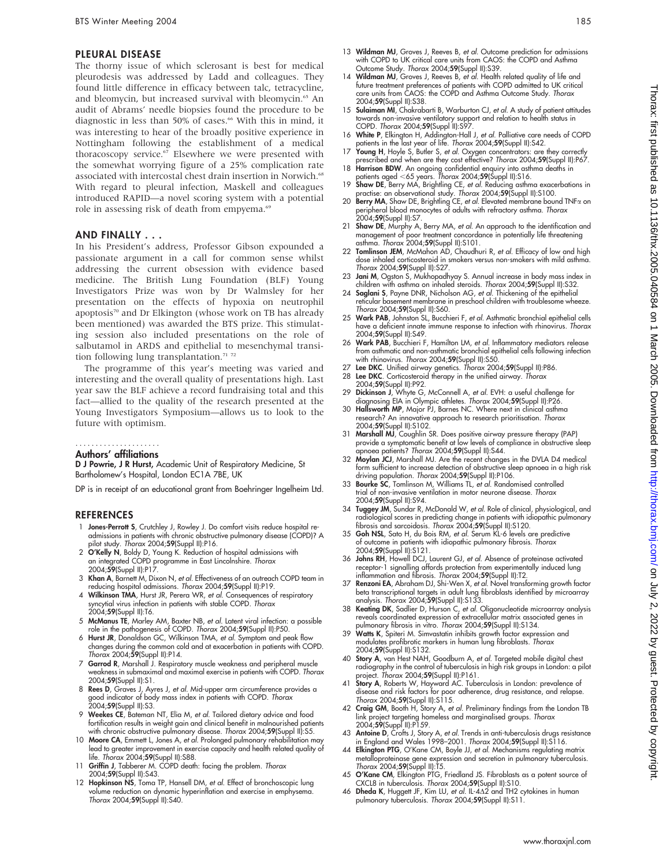#### PLEURAL DISEASE

The thorny issue of which sclerosant is best for medical pleurodesis was addressed by Ladd and colleagues. They found little difference in efficacy between talc, tetracycline, and bleomycin, but increased survival with bleomycin.<sup>65</sup> An audit of Abrams' needle biopsies found the procedure to be diagnostic in less than 50% of cases.<sup>66</sup> With this in mind, it was interesting to hear of the broadly positive experience in Nottingham following the establishment of a medical thoracoscopy service.<sup>67</sup> Elsewhere we were presented with the somewhat worrying figure of a 25% complication rate associated with intercostal chest drain insertion in Norwich.<sup>68</sup> With regard to pleural infection, Maskell and colleagues introduced RAPID—a novel scoring system with a potential role in assessing risk of death from empyema.<sup>69</sup>

#### AND FINALLY . . .

In his President's address, Professor Gibson expounded a passionate argument in a call for common sense whilst addressing the current obsession with evidence based medicine. The British Lung Foundation (BLF) Young Investigators Prize was won by Dr Walmsley for her presentation on the effects of hypoxia on neutrophil apoptosis<sup>70</sup> and Dr Elkington (whose work on TB has already been mentioned) was awarded the BTS prize. This stimulating session also included presentations on the role of salbutamol in ARDS and epithelial to mesenchymal transition following lung transplantation.<sup>71</sup> 72

The programme of this year's meeting was varied and interesting and the overall quality of presentations high. Last year saw the BLF achieve a record fundraising total and this fact—allied to the quality of the research presented at the Young Investigators Symposium—allows us to look to the future with optimism.

Authors' affiliations .....................

D J Powrie, J R Hurst, Academic Unit of Respiratory Medicine, St Bartholomew's Hospital, London EC1A 7BE, UK

DP is in receipt of an educational grant from Boehringer Ingelheim Ltd.

#### **REFERENCES**

- 1 Jones-Perrott S, Crutchley J, Rowley J. Do comfort visits reduce hospital re-admissions in patients with chronic obstructive pulmonary disease (COPD)? A pilot study. Thorax 2004;59(Suppl II):P16.
- 2 O'Kelly N, Boldy D, Young K. Reduction of hospital admissions with an integrated COPD programme in East Lincolnshire. *Thorax*<br>2004;**59**(Suppl II):P17.
- 3 Khan A, Barnett M, Dixon N, et al. Effectiveness of an outreach COPD team in reducing hospital admissions. Thorax 2004;59(Suppl II):P19.
- 4 Wilkinson TMA, Hurst JR, Perera WR, et al. Consequences of respiratory syncytial virus infection in patients with stable COPD. Thorax 2004;**59**(Suppl II):T6.
- 5 McManus TE, Marley AM, Baxter NB, et al. Latent viral infection: a possible role in the pathogenesis of COPD. Thorax 2004;59(Suppl II):P50.
- 6 Hurst JR, Donaldson GC, Wilkinson TMA, et al. Symptom and peak flow changes during the common cold and at exacerbation in patients with COPD.<br>*Thorax 2*004;**59**(Suppl II):P14.
- 7 Garrod R, Marshall J. Respiratory muscle weakness and peripheral muscle weakness in submaximal and maximal exercise in patients with COPD. Thorax 2004;59(Suppl II):S1.
- 8 Rees D, Graves J, Ayres J, et al. Mid-upper arm circumference provides a good indicator of body mass index in patients with COPD. *Thorax*<br>2004;**59**(Suppl II):S3.
- 9 Weekes CE, Bateman NT, Elia M, et al. Tailored dietary advice and food fortification results in weight gain and clinical benefit in malnourished patients with chronic obstructive pulmonary disease. Thorax 2004;59(Suppl II):S5.
- 10 Moore CA, Emmett L, Jones A, et al. Prolonged pulmonary rehabilitation may lead to greater improvement in exercise capacity and health related quality of life. Thorax 2004;59(Suppl II):S88. 11 Griffin J, Tabberer M. COPD death: facing the problem. Thorax
- 2004;59(Suppl II):S43.
- 12 Hopkinson NS, Toma TP, Hansell DM, et al. Effect of bronchoscopic lung volume reduction on dynamic hyperinflation and exercise in emphysema. Thorax 2004;59(Suppl II):S40.
- 13 Wildman MJ, Groves J, Reeves B, et al. Outcome prediction for admissions with COPD to UK critical care units from CAOS: the COPD and Asthma Outcome Study. Thorax 2004;59(Suppl II):S39.
- 14 Wildman MJ, Groves J, Reeves B, et al. Health related quality of life and future treatment preferences of patients with COPD admitted to UK critical care units from CAOS: the COPD and Asthma Outcome Study. Thorax 2004;59(Suppl II):S38.
- 15 Sulaiman MI, Chakrabarti B, Warburton CJ, et al. A study of patient attitudes towards non-invasive ventilatory support and relation to health status in COPD. *Thorax* 2004;**59**(Suppl II):S9
- 16 White P, Elkington H, Addington-Hall J, et al. Palliative care needs of COPD patients in the last year of life. Thorax 2004;59(Suppl II):S42.
- 17 Young H, Hoyle S, Butler S, et al. Oxygen concentrators: are they correctly prescribed and when are they cost effective? Thorax 2004;59(Suppl II):P67.
- 18 Harrison BDW. An ongoing confidential enquiry into asthma deaths in<br>patients aged <65 years. *Thorax* 2004;**59**(Suppl III:S16.<br>19 **Shaw DE**, Berry MA, Brightling CE, et al. Reducing asthma exacerbations in<br>practise: an
- 
- 2004;59(Suppl II):S7.
- 21 Shaw DE, Murphy A, Berry MA, et al. An approach to the identification and management of poor treatment concordance in potentially life threatening asthma. Thorax 2004;59(Suppl II):S101.
- 22 Tomlinson JEM, McMahon AD, Chaudhuri R, et al. Efficacy of low and high dose inhaled corticosteroid in smokers versus non-smokers with mild asthma. Thorax 2004;59(Suppl II):S27.
- 23 Jani M, Ogston S, Mukhopadhyay S. Annual increase in body mass index in children with asthma on inhaled steroids. Thorax 2004;59(Suppl II):S32.
- 24 Saglani S, Payne DNR, Nicholson AG, et al. Thickening of the epithelial reticular basement membrane in preschool children with troublesome wheeze. Thorax 2004;59(Suppl II):S60.
- 25 Wark PAB, Johnston SL, Bucchieri F, et al. Asthmatic bronchial epithelial cells have a deficient innate immune response to infection with rhinovirus. Thorax 2004;59(Suppl II):S49.
- 26 Wark PAB, Bucchieri F, Hamilton LM, *et al.* Inflammatory mediators release<br>from asthmatic and non-asthmatic bronchial epithelial cells following infection<br>with rhinovirus. *Thorax* 2004;**59**(Suppl II):S50.
- 27 Lee DKC. Unified airway genetics. *Thorax* 2004;**59**(Suppl II):P86.<br>28 Lee DKC. Corticosteroid therapy in the unified airway. *Thorax*
- 2004;**59(**Suppl II):P92.<br>29 **Dickinson J**, Whyte G, McConnell A, *et al.* EVH: a useful challenge for<br>diagnosing EIA in Olympic athletes. *Thorax* 2004;**59(**Suppl II):P26.
- 30 Hallsworth MP, Major PJ, Barnes NC. Where next in clinical asthma research? An innovative approach to research prioritisation. Thorax 2004;59(Suppl II):S102.
- 31 Marshall MJ, Coughlin SR. Does positive airway pressure therapy (PAP) provide a symptomatic benefit at low levels of compliance in obstructive sleep apnoea patients? Thorax 2004;59(Suppl II):S44.
- 32 Moylan JCJ, Marshall MJ. Are the recent changes in the DVLA D4 medical form sufficient to increase detection of obstructive sleep apnoea in a high risk driving population. Thorax 2004;59(Suppl II):P106.
- 33 Bourke SC, Tomlinson M, Williams TL, et al. Randomised controlled trial of non-invasive ventilation in motor neurone disease. Thorax 2004;59(Suppl II):S94.
- 34 Tuggey JM, Sundar R, McDonald W, et al. Role of clinical, physiological, and radiological scores in predicting change in patients with idiopathic pulmonary fibrosis and sarcoidosis. Thorax 2004;59(Suppl II):S120.
- 35 Goh NSL, Sato H, du Bois RM, et al. Serum KL-6 levels are predictive of outcome in patients with idiopathic pulmonary fibrosis. Thorax 2004;59(Suppl II):S121.
- 36 Johns RH, Howell DCJ, Laurent GJ, et al. Absence of proteinase activated
- receptor-1 signalling affords protection from experimentally induced lung<br>inflammation and fibrosis. *Thorax* 2004;**59**(Suppl II):T2.<br>**37 Renzoni EA**, Abraham DJ, Shi-Wen X, et al. Novel transforming growth factor<br>beta tra
- 38 Keating DK, Sadlier D, Hurson C, et al. Oligonucleotide microarray analysis reveals coordinated expression of extracellular matrix associated genes in ulmonary fibrosis in vitro. Thorax 2004;59(Suppl II):S134.
- 39 Watts K, Spiteri M. Simvastatin inhibits growth factor expression and modulates profibrotic markers in human lung fibroblasts. Thorax 2004;59(Suppl II):S132.
- 40 Story A, van Hest NAH, Goodburn A, et al. Targeted mobile digital chest radiography in the control of tuberculosis in high risk groups in London: a pilot project. Thorax 2004;59(Suppl II):P161.
- 41 Story A, Roberts W, Hayward AC. Tuberculosis in London: prevalence of disease and risk factors for poor adherence, drug resistance, and relapse.
- Thorax 2004;**59**(Suppl II):S115.<br>42 C**raig GM**, Booth H, Story A, *et al.* Preliminary findings from the London TB<br>link project targeting homeless and marginalised groups. Thorax<br>2004;**59**(Suppl II):P159.
- 43 Antoine D, Crofts J, Story A, et al. Trends in anti-tuberculosis drugs resistance in England and Wales 1998–2001. Thorax 2004;59(Suppl II):S116.
- 44 Elkington PTG, O'Kane CM, Boyle JJ, et al. Mechanisms regulating matrix metalloproteinase gene expression and secretion in pulmonary tuberculosis. Thorax 2004;59(Suppl II):15.
- 45 O'Kane CM, Elkington PTG, Friedland JS. Fibroblasts as a potent source of CXCL8 in tuberculosis. Thorax 2004;59(Suppl II):S10.
- 46 Dheda K, Huggett JF, Kim LU, et al. IL-4D2 and TH2 cytokines in human pulmonary tuberculosis. Thorax 2004;59(Suppl II):S11.